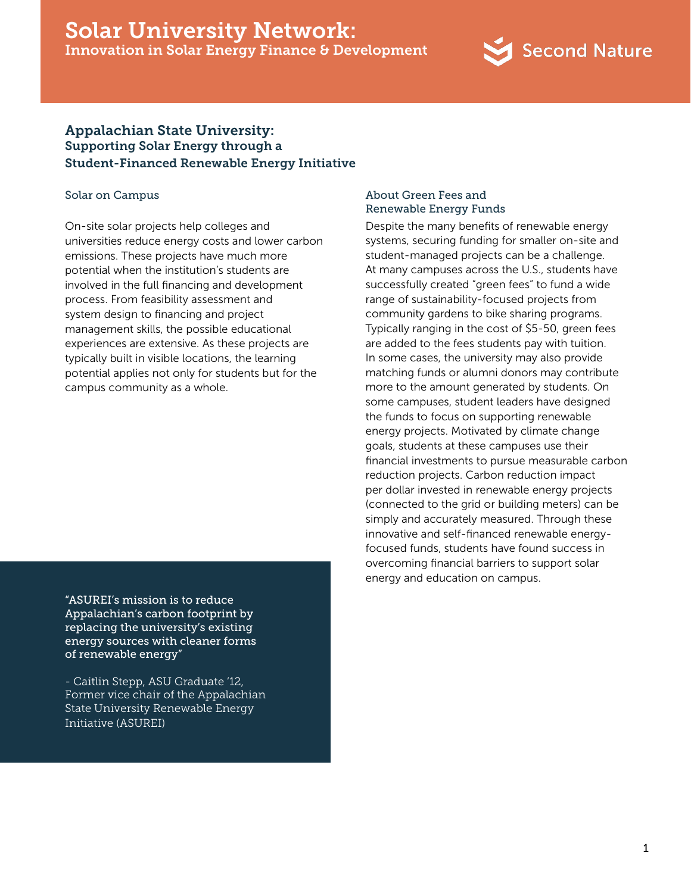# Solar University Network: Innovation in Solar Energy Finance & Development



## Appalachian State University: Supporting Solar Energy through a Student-Financed Renewable Energy Initiative

#### Solar on Campus

On-site solar projects help colleges and universities reduce energy costs and lower carbon emissions. These projects have much more potential when the institution's students are involved in the full financing and development process. From feasibility assessment and system design to financing and project management skills, the possible educational experiences are extensive. As these projects are typically built in visible locations, the learning potential applies not only for students but for the campus community as a whole.

"ASUREI's mission is to reduce Appalachian's carbon footprint by replacing the university's existing energy sources with cleaner forms of renewable energy"

- Caitlin Stepp, ASU Graduate '12, Former vice chair of the Appalachian State University Renewable Energy Initiative (ASUREI)

### About Green Fees and Renewable Energy Funds

Despite the many benefits of renewable energy systems, securing funding for smaller on-site and student-managed projects can be a challenge. At many campuses across the U.S., students have successfully created "green fees" to fund a wide range of sustainability-focused projects from community gardens to bike sharing programs. Typically ranging in the cost of \$5-50, green fees are added to the fees students pay with tuition. In some cases, the university may also provide matching funds or alumni donors may contribute more to the amount generated by students. On some campuses, student leaders have designed the funds to focus on supporting renewable energy projects. Motivated by climate change goals, students at these campuses use their financial investments to pursue measurable carbon reduction projects. Carbon reduction impact per dollar invested in renewable energy projects (connected to the grid or building meters) can be simply and accurately measured. Through these innovative and self-financed renewable energyfocused funds, students have found success in overcoming financial barriers to support solar energy and education on campus.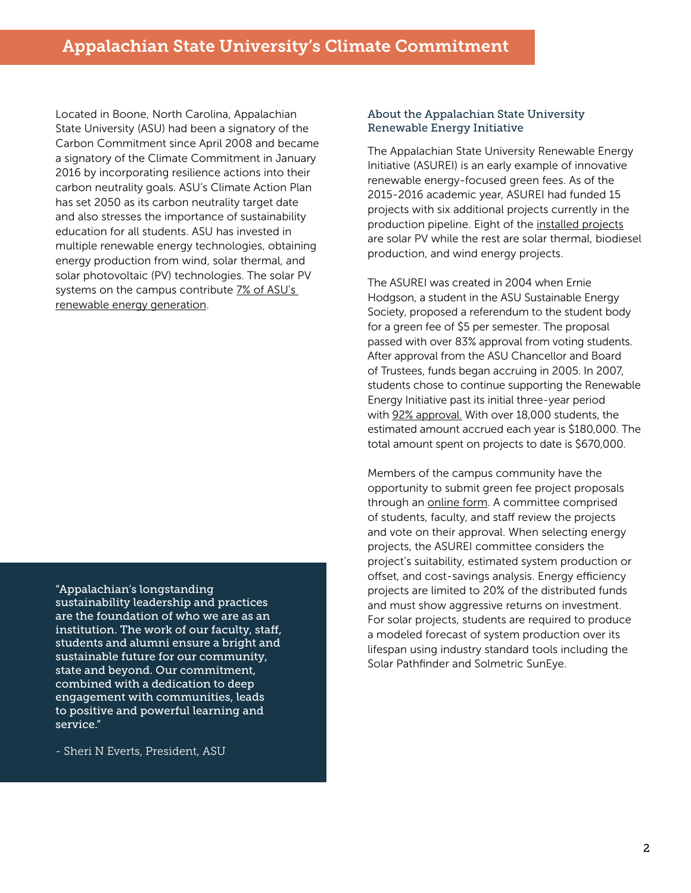Located in Boone, North Carolina, Appalachian State University (ASU) had been a signatory of the Carbon Commitment since April 2008 and became a signatory of the Climate Commitment in January 2016 by incorporating resilience actions into their carbon neutrality goals. ASU's Climate Action Plan has set 2050 as its carbon neutrality target date and also stresses the importance of sustainability education for all students. ASU has invested in multiple renewable energy technologies, obtaining energy production from wind, solar thermal, and solar photovoltaic (PV) technologies. The solar PV systems on the campus contribute 7% of ASU's [renewable energy generation.](http://sustain.appstate.edu/renewable-energy/pv)

"Appalachian's longstanding

sustainability leadership and practices are the foundation of who we are as an institution. The work of our faculty, staff, students and alumni ensure a bright and sustainable future for our community, state and beyond. Our commitment, combined with a dedication to deep engagement with communities, leads to positive and powerful learning and service."

- Sheri N Everts, President, ASU

#### About the Appalachian State University Renewable Energy Initiative

The Appalachian State University Renewable Energy Initiative (ASUREI) is an early example of innovative renewable energy-focused green fees. As of the 2015-2016 academic year, ASUREI had funded 15 projects with six additional projects currently in the production pipeline. Eight of the [installed projects](http://sustain.appstate.edu/renewable-energy/pv) are solar PV while the rest are solar thermal, biodiesel production, and wind energy projects.

The ASUREI was created in 2004 when Ernie Hodgson, a student in the ASU Sustainable Energy Society, proposed a referendum to the student body for a green fee of \$5 per semester. The proposal passed with over 83% approval from voting students. After approval from the ASU Chancellor and Board of Trustees, funds began accruing in 2005. In 2007, students chose to continue supporting the Renewable Energy Initiative past its initial three-year period with [92% approval](https://rei.appstate.edu/about-the-rei). With over 18,000 students, the estimated amount accrued each year is \$180,000. The total amount spent on projects to date is \$670,000.

Members of the campus community have the opportunity to submit green fee project proposals through an [online form](https://rei.appstate.edu/propose-a-project). A committee comprised of students, faculty, and staff review the projects and vote on their approval. When selecting energy projects, the ASUREI committee considers the project's suitability, estimated system production or offset, and cost-savings analysis. Energy efficiency projects are limited to 20% of the distributed funds and must show aggressive returns on investment. For solar projects, students are required to produce a modeled forecast of system production over its lifespan using industry standard tools including the Solar Pathfinder and Solmetric SunEye.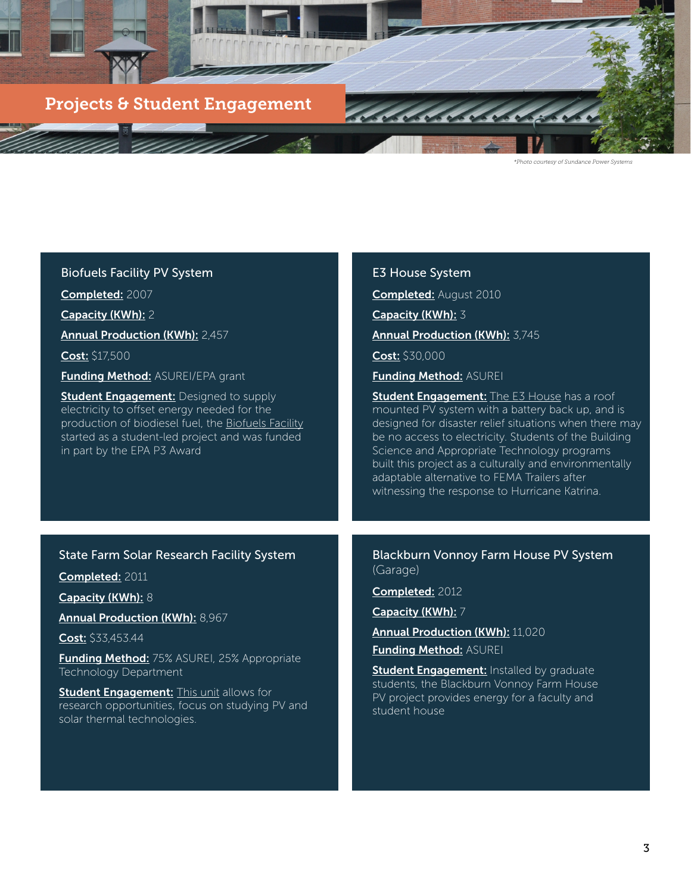

| <b>Biofuels Facility PV System</b>                                                                                                                                                                                                                                                                                                                                          | <b>E3 House System</b>                                                                                                                                                                                                                                                                                                                                                                                                              |
|-----------------------------------------------------------------------------------------------------------------------------------------------------------------------------------------------------------------------------------------------------------------------------------------------------------------------------------------------------------------------------|-------------------------------------------------------------------------------------------------------------------------------------------------------------------------------------------------------------------------------------------------------------------------------------------------------------------------------------------------------------------------------------------------------------------------------------|
| Completed: 2007                                                                                                                                                                                                                                                                                                                                                             | <b>Completed:</b> August 2010                                                                                                                                                                                                                                                                                                                                                                                                       |
| Capacity (KWh): 2                                                                                                                                                                                                                                                                                                                                                           | Capacity (KWh): 3                                                                                                                                                                                                                                                                                                                                                                                                                   |
| <b>Annual Production (KWh): 2,457</b>                                                                                                                                                                                                                                                                                                                                       | Annual Production (KWh): 3,745                                                                                                                                                                                                                                                                                                                                                                                                      |
| <b>Cost: \$17,500</b>                                                                                                                                                                                                                                                                                                                                                       | Cost: \$30,000                                                                                                                                                                                                                                                                                                                                                                                                                      |
| <b>Funding Method: ASUREI/EPA grant</b>                                                                                                                                                                                                                                                                                                                                     | <b>Funding Method: ASUREI</b>                                                                                                                                                                                                                                                                                                                                                                                                       |
| <b>Student Engagement:</b> Designed to supply<br>electricity to offset energy needed for the<br>production of biodiesel fuel, the Biofuels Facility<br>started as a student-led project and was funded<br>in part by the EPA P3 Award                                                                                                                                       | <b>Student Engagement:</b> The E3 House has a roof<br>mounted PV system with a battery back up, and is<br>designed for disaster relief situations when there may<br>be no access to electricity. Students of the Building<br>Science and Appropriate Technology programs<br>built this project as a culturally and environmentally<br>adaptable alternative to FEMA Trailers after<br>witnessing the response to Hurricane Katrina. |
|                                                                                                                                                                                                                                                                                                                                                                             |                                                                                                                                                                                                                                                                                                                                                                                                                                     |
| <b>State Farm Solar Research Facility System</b><br>Completed: 2011<br>Capacity (KWh): 8<br><b>Annual Production (KWh): 8,967</b><br><b>Cost:</b> \$33,453.44<br>Funding Method: 75% ASUREI, 25% Appropriate<br>Technology Department<br><b>Student Engagement:</b> This unit allows for<br>research opportunities, focus on studying PV and<br>solar thermal technologies. | Blackburn Vonnoy Farm House PV System<br>(Garage)<br>Completed: 2012<br>Capacity (KWh): 7<br><b>Annual Production (KWh): 11,020</b><br><b>Funding Method: ASUREI</b><br><b>Student Engagement:</b> Installed by graduate<br>students, the Blackburn Vonnoy Farm House<br>PV project provides energy for a faculty and<br>student house                                                                                              |